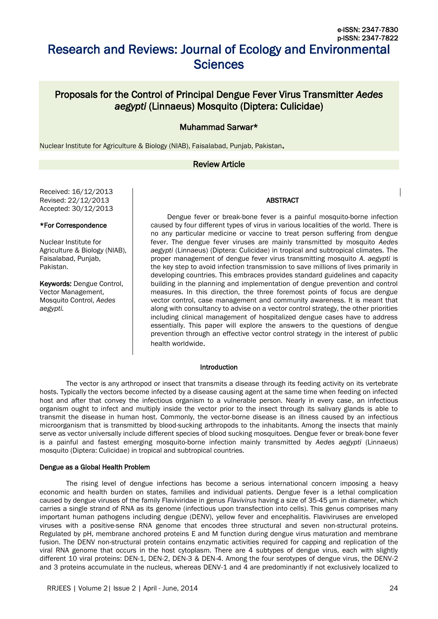# Research and Reviews: Journal of Ecology and Environmental **Sciences**

# Proposals for the Control of Principal Dengue Fever Virus Transmitter *Aedes aegypti* (Linnaeus) Mosquito (Diptera: Culicidae)

# Muhammad Sarwar\*

Nuclear Institute for Agriculture & Biology (NIAB), Faisalabad, Punjab, Pakistan.

# Review Article

Received: 16/12/2013 Revised: 22/12/2013 Accepted: 30/12/2013

#### \*For Correspondence

Nuclear Institute for Agriculture & Biology (NIAB), Faisalabad, Punjab, Pakistan.

Keywords: Dengue Control, Vector Management, Mosquito Control, *Aedes aegypti.*

Dengue fever or break-bone fever is a painful mosquito-borne infection caused by four different types of virus in various localities of the world. There is no any particular medicine or vaccine to treat person suffering from dengue fever. The dengue fever viruses are mainly transmitted by mosquito *Aedes aegypti* (Linnaeus) (Diptera: Culicidae) in tropical and subtropical climates. The proper management of dengue fever virus transmitting mosquito *A. aegypti* is the key step to avoid infection transmission to save millions of lives primarily in developing countries. This embraces provides standard guidelines and capacity building in the planning and implementation of dengue prevention and control measures. In this direction, the three foremost points of focus are dengue vector control, case management and community awareness. It is meant that along with consultancy to advise on a vector control strategy, the other priorities including clinical management of hospitalized dengue cases have to address essentially. This paper will explore the answers to the questions of dengue prevention through an effective vector control strategy in the interest of public health worldwide.

ABSTRACT

#### Introduction

The vector is any arthropod or insect that transmits a disease through its feeding activity on its vertebrate hosts. Typically the vectors become infected by a disease causing agent at the same time when feeding on infected host and after that convey the infectious organism to a vulnerable person. Nearly in every case, an infectious organism ought to infect and multiply inside the vector prior to the insect through its salivary glands is able to transmit the disease in human host. Commonly, the vector-borne disease is an illness caused by an infectious microorganism that is transmitted by blood-sucking arthropods to the inhabitants. Among the insects that mainly serve as vector universally include different species of blood sucking mosquitoes. Dengue fever or break-bone fever is a painful and fastest emerging mosquito-borne infection mainly transmitted by *Aedes aegypti* (Linnaeus) mosquito (Diptera: Culicidae) in tropical and subtropical countries.

#### Dengue as a Global Health Problem

The rising level of dengue infections has become a serious international concern imposing a heavy economic and health burden on states, families and individual patients. Dengue fever is a lethal complication caused by dengue viruses of the family Flaviviridae in genus *Flavivirus* having a size of 35-45 µm in diameter, which carries a single strand of RNA as its genome (infectious upon transfection into cells). This genus comprises many important human pathogens including dengue (DENV), yellow fever and encephalitis. Flaviviruses are enveloped viruses with a positive-sense RNA genome that encodes three structural and seven non-structural proteins. Regulated by pH, membrane anchored proteins E and M function during dengue virus maturation and membrane fusion. The DENV non-structural protein contains enzymatic activities required for capping and replication of the viral RNA genome that occurs in the host cytoplasm. There are 4 subtypes of dengue virus, each with slightly different 10 viral proteins: DEN-1, DEN-2, DEN-3 & DEN-4. Among the four serotypes of dengue virus, the DENV-2 and 3 proteins accumulate in the nucleus, whereas DENV-1 and 4 are predominantly if not exclusively localized to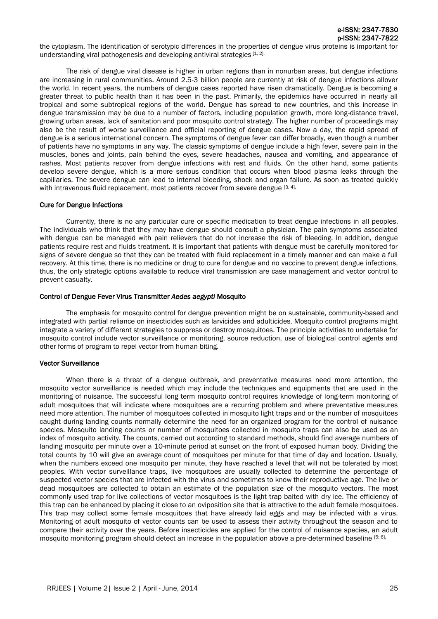e-ISSN: 2347-7830 p-ISSN: 2347-7822

the cytoplasm. The identification of serotypic differences in the properties of dengue virus proteins is important for understanding viral pathogenesis and developing antiviral strategies [1, 2].

The risk of dengue viral disease is higher in urban regions than in nonurban areas, but dengue infections are increasing in rural communities. Around 2.5-3 billion people are currently at risk of dengue infections allover the world. In recent years, the numbers of dengue cases reported have risen dramatically. Dengue is becoming a greater threat to public health than it has been in the past. Primarily, the epidemics have occurred in nearly all tropical and some subtropical regions of the world. Dengue has spread to new countries, and this increase in dengue transmission may be due to a number of factors, including population growth, more long-distance travel, growing urban areas, lack of sanitation and poor mosquito control strategy. The higher number of proceedings may also be the result of worse surveillance and official reporting of dengue cases. Now a day, the rapid spread of dengue is a serious international concern. The symptoms of dengue fever can differ broadly, even though a number of patients have no symptoms in any way. The classic symptoms of dengue include a high fever, severe pain in the muscles, bones and joints, pain behind the eyes, severe headaches, nausea and vomiting, and appearance of rashes. Most patients recover from dengue infections with rest and fluids. On the other hand, some patients develop severe dengue, which is a more serious condition that occurs when blood plasma leaks through the capillaries. The severe dengue can lead to internal bleeding, shock and organ failure. As soon as treated quickly with intravenous fluid replacement, most patients recover from severe dengue [3, 4].

#### Cure for Dengue Infections

Currently, there is no any particular cure or specific medication to treat dengue infections in all peoples. The individuals who think that they may have dengue should consult a physician. The pain symptoms associated with dengue can be managed with pain relievers that do not increase the risk of bleeding. In addition, dengue patients require rest and fluids treatment. It is important that patients with dengue must be carefully monitored for signs of severe dengue so that they can be treated with fluid replacement in a timely manner and can make a full recovery. At this time, there is no medicine or drug to cure for dengue and no vaccine to prevent dengue infections, thus, the only strategic options available to reduce viral transmission are case management and vector control to prevent casualty.

#### Control of Dengue Fever Virus Transmitter *Aedes aegypti* Mosquito

The emphasis for mosquito control for dengue prevention might be on sustainable, community-based and integrated with partial reliance on insecticides such as larvicides and adulticides. Mosquito control programs might integrate a variety of different strategies to suppress or destroy mosquitoes. The principle activities to undertake for mosquito control include vector surveillance or monitoring, source reduction, use of biological control agents and other forms of program to repel vector from human biting.

# Vector Surveillance

When there is a threat of a dengue outbreak, and preventative measures need more attention, the mosquito vector surveillance is needed which may include the techniques and equipments that are used in the monitoring of nuisance. The successful long term mosquito control requires knowledge of long-term monitoring of adult mosquitoes that will indicate where mosquitoes are a recurring problem and where preventative measures need more attention. The number of mosquitoes collected in mosquito light traps and or the number of mosquitoes caught during landing counts normally determine the need for an organized program for the control of nuisance species. Mosquito landing counts or number of mosquitoes collected in mosquito traps can also be used as an index of mosquito activity. The counts, carried out according to standard methods, should find average numbers of landing mosquito per minute over a 10-minute period at sunset on the front of exposed human body. Dividing the total counts by 10 will give an average count of mosquitoes per minute for that time of day and location. Usually, when the numbers exceed one mosquito per minute, they have reached a level that will not be tolerated by most peoples. With vector surveillance traps, live mosquitoes are usually collected to determine the percentage of suspected vector species that are infected with the virus and sometimes to know their reproductive age. The live or dead mosquitoes are collected to obtain an estimate of the population size of the mosquito vectors. The most commonly used trap for live collections of vector mosquitoes is the light trap baited with dry ice. The efficiency of this trap can be enhanced by placing it close to an oviposition site that is attractive to the adult female mosquitoes. This trap may collect some female mosquitoes that have already laid eggs and may be infected with a virus. Monitoring of adult mosquito of vector counts can be used to assess their activity throughout the season and to compare their activity over the years. Before insecticides are applied for the control of nuisance species, an adult mosquito monitoring program should detect an increase in the population above a pre-determined baseline [5; 6].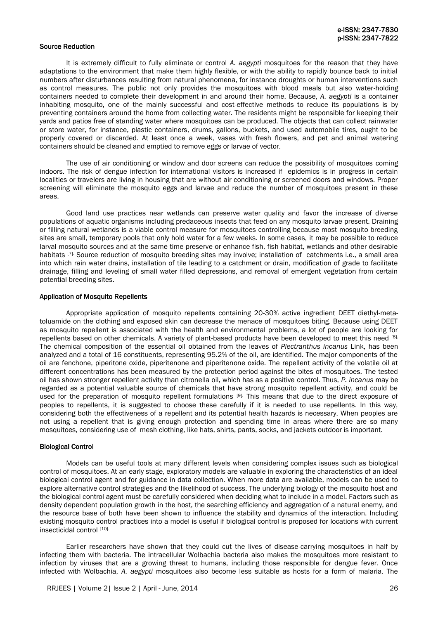# Source Reduction

It is extremely difficult to fully eliminate or control *A. aegypti* mosquitoes for the reason that they have adaptations to the environment that make them highly flexible, or with the ability to rapidly bounce back to initial numbers after disturbances resulting from natural phenomena, for instance droughts or human interventions such as control measures. The public not only provides the mosquitoes with blood meals but also water-holding containers needed to complete their development in and around their home. Because, *A. aegypti* is a container inhabiting mosquito, one of the mainly successful and cost-effective methods to reduce its populations is by preventing containers around the home from collecting water. The residents might be responsible for keeping their yards and patios free of standing water where mosquitoes can be produced. The objects that can collect rainwater or store water, for instance, plastic containers, drums, gallons, buckets, and used automobile tires, ought to be properly covered or discarded. At least once a week, vases with fresh flowers, and pet and animal watering containers should be cleaned and emptied to remove eggs or larvae of vector.

The use of air conditioning or window and door screens can reduce the possibility of mosquitoes coming indoors. The risk of dengue infection for international visitors is increased if epidemics is in progress in certain localities or travelers are living in housing that are without air conditioning or screened doors and windows. Proper screening will eliminate the mosquito eggs and larvae and reduce the number of mosquitoes present in these areas.

Good land use practices near wetlands can preserve water quality and favor the increase of diverse populations of aquatic organisms including predaceous insects that feed on any mosquito larvae present. Draining or filling natural wetlands is a viable control measure for mosquitoes controlling because most mosquito breeding sites are small, temporary pools that only hold water for a few weeks. In some cases, it may be possible to reduce larval mosquito sources and at the same time preserve or enhance fish, fish habitat, wetlands and other desirable habitats [7]. Source reduction of mosquito breeding sites may involve; installation of catchments i.e., a small area into which rain water drains, installation of tile leading to a catchment or drain, modification of grade to facilitate drainage, filling and leveling of small water filled depressions, and removal of emergent vegetation from certain potential breeding sites.

#### Application of Mosquito Repellents

Appropriate application of mosquito repellents containing 20-30% active ingredient DEET diethyl-metatoluamide on the clothing and exposed skin can decrease the menace of mosquitoes biting. Because using DEET as mosquito repellent is associated with the health and environmental problems, a lot of people are looking for repellents based on other chemicals. A variety of plant-based products have been developed to meet this need [8]. The chemical composition of the essential oil obtained from the leaves of *Plectranthus incanus* Link, has been analyzed and a total of 16 constituents, representing 95.2% of the oil, are identified. The major components of the oil are fenchone, piperitone oxide, piperitenone and piperitenone oxide. The repellent activity of the volatile oil at different concentrations has been measured by the protection period against the bites of mosquitoes. The tested oil has shown stronger repellent activity than citronella oil, which has as a positive control. Thus, *P. incanus* may be regarded as a potential valuable source of chemicals that have strong mosquito repellent activity, and could be used for the preparation of mosquito repellent formulations [9]. This means that due to the direct exposure of peoples to repellents, it is suggested to choose these carefully if it is needed to use repellents. In this way, considering both the effectiveness of a repellent and its potential health hazards is necessary. When peoples are not using a repellent that is giving enough protection and spending time in areas where there are so many mosquitoes, considering use of mesh clothing, like hats, shirts, pants, socks, and jackets outdoor is important.

# Biological Control

Models can be useful tools at many different levels when considering complex issues such as biological control of mosquitoes. At an early stage, exploratory models are valuable in exploring the characteristics of an ideal biological control agent and for guidance in data collection. When more data are available, models can be used to explore alternative control strategies and the likelihood of success. The underlying biology of the mosquito host and the biological control agent must be carefully considered when deciding what to include in a model. Factors such as density dependent population growth in the host, the searching efficiency and aggregation of a natural enemy, and the resource base of both have been shown to influence the stability and dynamics of the interaction. Including existing mosquito control practices into a model is useful if biological control is proposed for locations with current insecticidal control [10].

Earlier researchers have shown that they could cut the lives of disease-carrying mosquitoes in half by infecting them with bacteria. The intracellular Wolbachia bacteria also makes the mosquitoes more resistant to infection by viruses that are a growing threat to humans, including those responsible for dengue fever. Once infected with Wolbachia, *A. aegypti* mosquitoes also become less suitable as hosts for a form of malaria. The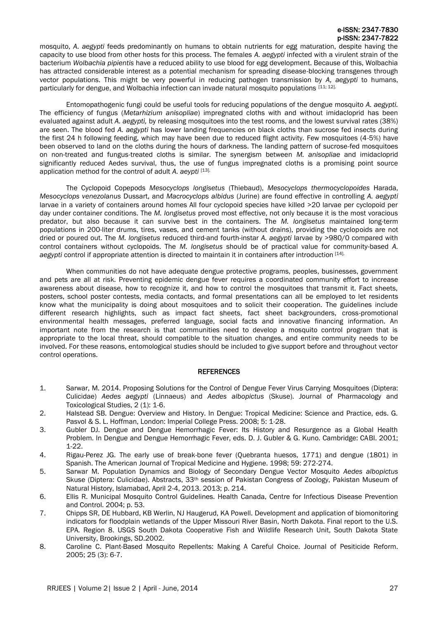# e-ISSN: 2347-7830 p-ISSN: 2347-7822

mosquito, *A. aegypti* feeds predominantly on humans to obtain nutrients for egg maturation, despite having the capacity to use blood from other hosts for this process. The females *A. aegypti* infected with a virulent strain of the bacterium *Wolbachia pipientis* have a reduced ability to use blood for egg development. Because of this, Wolbachia has attracted considerable interest as a potential mechanism for spreading disease-blocking transgenes through vector populations. This might be very powerful in reducing pathogen transmission by *A, aegypti* to humans, particularly for dengue, and Wolbachia infection can invade natural mosquito populations [11; 12].

Entomopathogenic fungi could be useful tools for reducing populations of the dengue mosquito *A. aegypti.* The efficiency of fungus (*Metarhizium anisopliae*) impregnated cloths with and without imidacloprid has been evaluated against adult *A. aegypti,* by releasing mosquitoes into the test rooms, and the lowest survival rates (38%) are seen. The blood fed *A. aegypti* has lower landing frequencies on black cloths than sucrose fed insects during the first 24 h following feeding, which may have been due to reduced flight activity. Few mosquitoes (4-5%) have been observed to land on the cloths during the hours of darkness. The landing pattern of sucrose-fed mosquitoes on non-treated and fungus-treated cloths is similar. The synergism between *M. anisopliae* and imidacloprid significantly reduced Aedes survival, thus, the use of fungus impregnated cloths is a promising point source application method for the control of adult *A. aeypti* [13].

The Cyclopoid Copepods *Mesocyclops longisetus* (Thiebaud), *Mesocyclops thermocyclopoides* Harada, *Mesocyclops venezolanus* Dussart, and *Macrocyclops albidus* (Jurine) are found effective in controlling *A. aegypti*  larvae in a variety of containers around homes All four cyclopoid species have killed >20 larvae per cyclopoid per day under container conditions. The *M. longisetus* proved most effective, not only because it is the most voracious predator, but also because it can survive best in the containers. The *M. longisetus* maintained long-term populations in 200-liter drums, tires, vases, and cement tanks (without drains), providing the cyclopoids are not dried or poured out. The *M. longisetus* reduced third-and fourth-instar *A. aegypti* larvae by >980/0 compared with control containers without cyclopoids. The *M. longisetus* should be of practical value for community-based *A. aegypti* control if appropriate attention is directed to maintain it in containers after introduction [14].

When communities do not have adequate dengue protective programs, peoples, businesses, government and pets are all at risk. Preventing epidemic dengue fever requires a coordinated community effort to increase awareness about disease, how to recognize it, and how to control the mosquitoes that transmit it. Fact sheets, posters, school poster contests, media contacts, and formal presentations can all be employed to let residents know what the municipality is doing about mosquitoes and to solicit their cooperation. The guidelines include different research highlights, such as impact fact sheets, fact sheet backgrounders, cross-promotional environmental health messages, preferred language, social facts and innovative financing information. An important note from the research is that communities need to develop a mosquito control program that is appropriate to the local threat, should compatible to the situation changes, and entire community needs to be involved. For these reasons, entomological studies should be included to give support before and throughout vector control operations.

# **REFERENCES**

- 1. Sarwar, M. 2014. Proposing Solutions for the Control of Dengue Fever Virus Carrying Mosquitoes (Diptera: Culicidae) *Aedes aegypti* (Linnaeus) and *Aedes albopictus* (Skuse). Journal of Pharmacology and Toxicological Studies, 2 (1): 1-6.
- 2. Halstead SB. Dengue: Overview and History. In Dengue: Tropical Medicine: Science and Practice, eds. G. Pasvol & S. L. Hoffman, London: Imperial College Press. 2008; 5: 1-28.
- 3. Gubler DJ. Dengue and Dengue Hemorrhagic Fever: Its History and Resurgence as a Global Health Problem. In Dengue and Dengue Hemorrhagic Fever, eds. D. J. Gubler & G. Kuno. Cambridge: CABI. 2001; 1-22.
- 4. Rigau-Perez JG. The early use of break-bone fever (Quebranta huesos, 1771) and dengue (1801) in Spanish. The American Journal of Tropical Medicine and Hygiene. 1998; 59: 272-274.
- 5. Sarwar M. Population Dynamics and Biology of Secondary Dengue Vector Mosquito *Aedes albopictus* Skuse (Diptera: Culicidae). Abstracts, 33th session of Pakistan Congress of Zoology, Pakistan Museum of Natural History, Islamabad, April 2-4, 2013. 2013; p. 214.
- 6. Ellis R. Municipal Mosquito Control Guidelines. Health Canada, Centre for Infectious Disease Prevention and Control. 2004; p. 53.
- 7. Chipps SR, DE Hubbard, KB Werlin, NJ Haugerud, KA Powell. Development and application of biomonitoring indicators for floodplain wetlands of the Upper Missouri River Basin, North Dakota. Final report to the U.S. EPA. Region 8. USGS South Dakota Cooperative Fish and Wildlife Research Unit, South Dakota State University, Brookings, SD.2002.
- 8. Caroline C. Plant-Based Mosquito Repellents: Making A Careful Choice. Journal of Pesiticide Reform. 2005; 25 (3): 6-7.